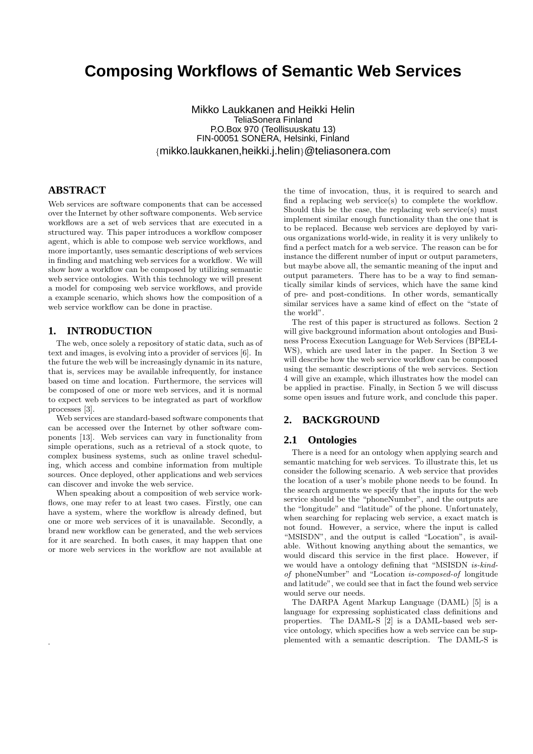# **Composing Workflows of Semantic Web Services**

Mikko Laukkanen and Heikki Helin TeliaSonera Finland P.O.Box 970 (Teollisuuskatu 13) FIN-00051 SONERA, Helsinki, Finland {mikko.laukkanen,heikki.j.helin}@teliasonera.com

# **ABSTRACT**

Web services are software components that can be accessed over the Internet by other software components. Web service workflows are a set of web services that are executed in a structured way. This paper introduces a workflow composer agent, which is able to compose web service workflows, and more importantly, uses semantic descriptions of web services in finding and matching web services for a workflow. We will show how a workflow can be composed by utilizing semantic web service ontologies. With this technology we will present a model for composing web service workflows, and provide a example scenario, which shows how the composition of a web service workflow can be done in practise.

### **1. INTRODUCTION**

.

The web, once solely a repository of static data, such as of text and images, is evolving into a provider of services [6]. In the future the web will be increasingly dynamic in its nature, that is, services may be available infrequently, for instance based on time and location. Furthermore, the services will be composed of one or more web services, and it is normal to expect web services to be integrated as part of workflow processes [3].

Web services are standard-based software components that can be accessed over the Internet by other software components [13]. Web services can vary in functionality from simple operations, such as a retrieval of a stock quote, to complex business systems, such as online travel scheduling, which access and combine information from multiple sources. Once deployed, other applications and web services can discover and invoke the web service.

When speaking about a composition of web service workflows, one may refer to at least two cases. Firstly, one can have a system, where the workflow is already defined, but one or more web services of it is unavailable. Secondly, a brand new workflow can be generated, and the web services for it are searched. In both cases, it may happen that one or more web services in the workflow are not available at

the time of invocation, thus, it is required to search and find a replacing web service(s) to complete the workflow. Should this be the case, the replacing web service(s) must implement similar enough functionality than the one that is to be replaced. Because web services are deployed by various organizations world-wide, in reality it is very unlikely to find a perfect match for a web service. The reason can be for instance the different number of input or output parameters, but maybe above all, the semantic meaning of the input and output parameters. There has to be a way to find semantically similar kinds of services, which have the same kind of pre- and post-conditions. In other words, semantically similar services have a same kind of effect on the "state of the world".

The rest of this paper is structured as follows. Section 2 will give background information about ontologies and Business Process Execution Language for Web Services (BPEL4- WS), which are used later in the paper. In Section 3 we will describe how the web service workflow can be composed using the semantic descriptions of the web services. Section 4 will give an example, which illustrates how the model can be applied in practise. Finally, in Section 5 we will discuss some open issues and future work, and conclude this paper.

# **2. BACKGROUND**

#### **2.1 Ontologies**

There is a need for an ontology when applying search and semantic matching for web services. To illustrate this, let us consider the following scenario. A web service that provides the location of a user's mobile phone needs to be found. In the search arguments we specify that the inputs for the web service should be the "phoneNumber", and the outputs are the "longitude" and "latitude" of the phone. Unfortunately, when searching for replacing web service, a exact match is not found. However, a service, where the input is called "MSISDN", and the output is called "Location", is available. Without knowing anything about the semantics, we would discard this service in the first place. However, if we would have a ontology defining that "MSISDN is-kindof phoneNumber" and "Location is-composed-of longitude and latitude", we could see that in fact the found web service would serve our needs.

The DARPA Agent Markup Language (DAML) [5] is a language for expressing sophisticated class definitions and properties. The DAML-S [2] is a DAML-based web service ontology, which specifies how a web service can be supplemented with a semantic description. The DAML-S is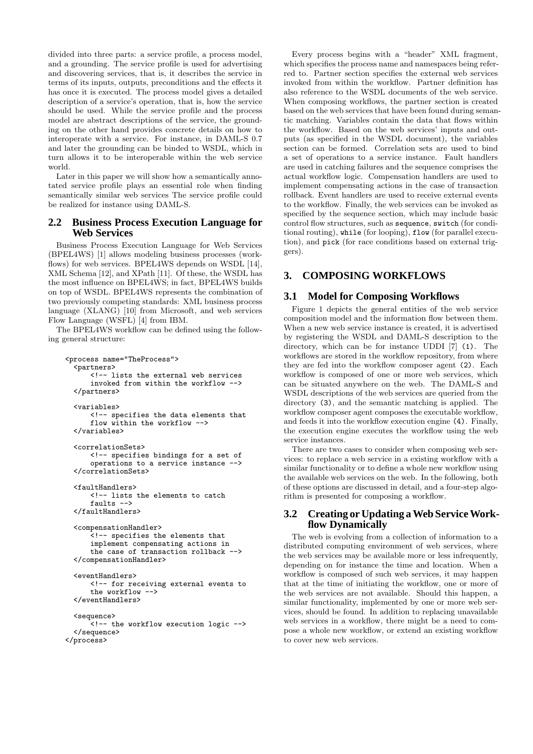divided into three parts: a service profile, a process model, and a grounding. The service profile is used for advertising and discovering services, that is, it describes the service in terms of its inputs, outputs, preconditions and the effects it has once it is executed. The process model gives a detailed description of a service's operation, that is, how the service should be used. While the service profile and the process model are abstract descriptions of the service, the grounding on the other hand provides concrete details on how to interoperate with a service. For instance, in DAML-S 0.7 and later the grounding can be binded to WSDL, which in turn allows it to be interoperable within the web service world.

Later in this paper we will show how a semantically annotated service profile plays an essential role when finding semantically similar web services The service profile could be realized for instance using DAML-S.

### **2.2 Business Process Execution Language for Web Services**

Business Process Execution Language for Web Services (BPEL4WS) [1] allows modeling business processes (workflows) for web services. BPEL4WS depends on WSDL [14], XML Schema [12], and XPath [11]. Of these, the WSDL has the most influence on BPEL4WS; in fact, BPEL4WS builds on top of WSDL. BPEL4WS represents the combination of two previously competing standards: XML business process language (XLANG) [10] from Microsoft, and web services Flow Language (WSFL) [4] from IBM.

The BPEL4WS workflow can be defined using the following general structure:

```
<process name="TheProcess">
  <partners>
      <!-- lists the external web services
      invoked from within the workflow -->
 </partners>
 <variables>
      <!-- specifies the data elements that
     flow within the workflow -->
 </variables>
 <correlationSets>
      <!-- specifies bindings for a set of
      operations to a service instance -->
 </correlationSets>
 <faultHandlers>
      <!-- lists the elements to catch
      faults -->
 </faultHandlers>
 <compensationHandler>
      .<br><!-- specifies the elements that
      implement compensating actions in
      the case of transaction rollback -->
 </compensationHandler>
  <eventHandlers>
      <!-- for receiving external events to
      the workflow -->
 </eventHandlers>
 <sequence>
      <!-- the workflow execution logic -->
 </sequence>
</process>
```
Every process begins with a "header" XML fragment, which specifies the process name and namespaces being referred to. Partner section specifies the external web services invoked from within the workflow. Partner definition has also reference to the WSDL documents of the web service. When composing workflows, the partner section is created based on the web services that have been found during semantic matching. Variables contain the data that flows within the workflow. Based on the web services' inputs and outputs (as specified in the WSDL document), the variables section can be formed. Correlation sets are used to bind a set of operations to a service instance. Fault handlers are used in catching failures and the sequence comprises the actual workflow logic. Compensation handlers are used to implement compensating actions in the case of transaction rollback. Event handlers are used to receive external events to the workflow. Finally, the web services can be invoked as specified by the sequence section, which may include basic control flow structures, such as sequence, switch (for conditional routing), while (for looping), flow (for parallel execution), and pick (for race conditions based on external triggers).

# **3. COMPOSING WORKFLOWS**

### **3.1 Model for Composing Workflows**

Figure 1 depicts the general entities of the web service composition model and the information flow between them. When a new web service instance is created, it is advertised by registering the WSDL and DAML-S description to the directory, which can be for instance UDDI [7] (1). The workflows are stored in the workflow repository, from where they are fed into the workflow composer agent (2). Each workflow is composed of one or more web services, which can be situated anywhere on the web. The DAML-S and WSDL descriptions of the web services are queried from the directory (3), and the semantic matching is applied. The workflow composer agent composes the executable workflow, and feeds it into the workflow execution engine (4). Finally, the execution engine executes the workflow using the web service instances.

There are two cases to consider when composing web services: to replace a web service in a existing workflow with a similar functionality or to define a whole new workflow using the available web services on the web. In the following, both of these options are discussed in detail, and a four-step algorithm is presented for composing a workflow.

### **3.2 Creating or Updating a Web Service Workflow Dynamically**

The web is evolving from a collection of information to a distributed computing environment of web services, where the web services may be available more or less infrequently, depending on for instance the time and location. When a workflow is composed of such web services, it may happen that at the time of initiating the workflow, one or more of the web services are not available. Should this happen, a similar functionality, implemented by one or more web services, should be found. In addition to replacing unavailable web services in a workflow, there might be a need to compose a whole new workflow, or extend an existing workflow to cover new web services.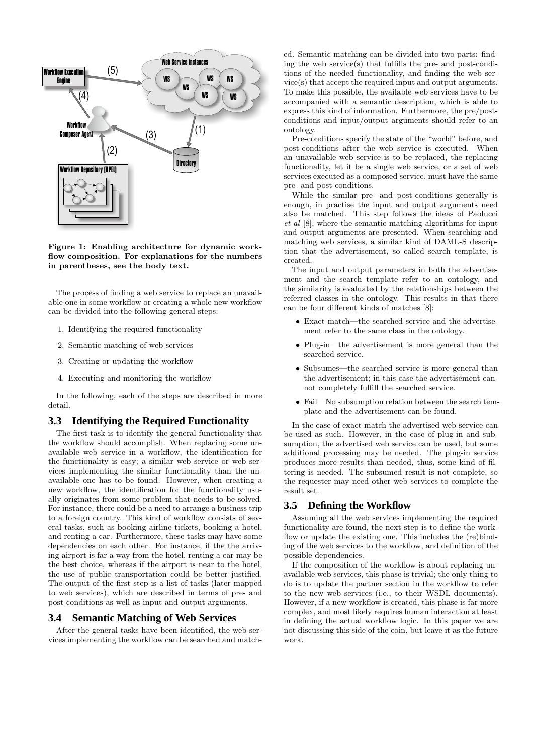

#### Figure 1: Enabling architecture for dynamic workflow composition. For explanations for the numbers in parentheses, see the body text.

The process of finding a web service to replace an unavailable one in some workflow or creating a whole new workflow can be divided into the following general steps:

- 1. Identifying the required functionality
- 2. Semantic matching of web services
- 3. Creating or updating the workflow
- 4. Executing and monitoring the workflow

In the following, each of the steps are described in more detail.

### **3.3 Identifying the Required Functionality**

The first task is to identify the general functionality that the workflow should accomplish. When replacing some unavailable web service in a workflow, the identification for the functionality is easy; a similar web service or web services implementing the similar functionality than the unavailable one has to be found. However, when creating a new workflow, the identification for the functionality usually originates from some problem that needs to be solved. For instance, there could be a need to arrange a business trip to a foreign country. This kind of workflow consists of several tasks, such as booking airline tickets, booking a hotel, and renting a car. Furthermore, these tasks may have some dependencies on each other. For instance, if the the arriving airport is far a way from the hotel, renting a car may be the best choice, whereas if the airport is near to the hotel, the use of public transportation could be better justified. The output of the first step is a list of tasks (later mapped to web services), which are described in terms of pre- and post-conditions as well as input and output arguments.

#### **3.4 Semantic Matching of Web Services**

After the general tasks have been identified, the web services implementing the workflow can be searched and match-

ed. Semantic matching can be divided into two parts: finding the web service(s) that fulfills the pre- and post-conditions of the needed functionality, and finding the web service(s) that accept the required input and output arguments. To make this possible, the available web services have to be accompanied with a semantic description, which is able to express this kind of information. Furthermore, the pre/postconditions and input/output arguments should refer to an ontology.

Pre-conditions specify the state of the "world" before, and post-conditions after the web service is executed. When an unavailable web service is to be replaced, the replacing functionality, let it be a single web service, or a set of web services executed as a composed service, must have the same pre- and post-conditions.

While the similar pre- and post-conditions generally is enough, in practise the input and output arguments need also be matched. This step follows the ideas of Paolucci et al [8], where the semantic matching algorithms for input and output arguments are presented. When searching and matching web services, a similar kind of DAML-S description that the advertisement, so called search template, is created.

The input and output parameters in both the advertisement and the search template refer to an ontology, and the similarity is evaluated by the relationships between the referred classes in the ontology. This results in that there can be four different kinds of matches [8]:

- Exact match—the searched service and the advertisement refer to the same class in the ontology.
- Plug-in—the advertisement is more general than the searched service.
- Subsumes—the searched service is more general than the advertisement; in this case the advertisement cannot completely fulfill the searched service.
- Fail—No subsumption relation between the search template and the advertisement can be found.

In the case of exact match the advertised web service can be used as such. However, in the case of plug-in and subsumption, the advertised web service can be used, but some additional processing may be needed. The plug-in service produces more results than needed, thus, some kind of filtering is needed. The subsumed result is not complete, so the requester may need other web services to complete the result set.

#### **3.5 Defining the Workflow**

Assuming all the web services implementing the required functionality are found, the next step is to define the workflow or update the existing one. This includes the (re)binding of the web services to the workflow, and definition of the possible dependencies.

If the composition of the workflow is about replacing unavailable web services, this phase is trivial; the only thing to do is to update the partner section in the workflow to refer to the new web services (i.e., to their WSDL documents). However, if a new workflow is created, this phase is far more complex, and most likely requires human interaction at least in defining the actual workflow logic. In this paper we are not discussing this side of the coin, but leave it as the future work.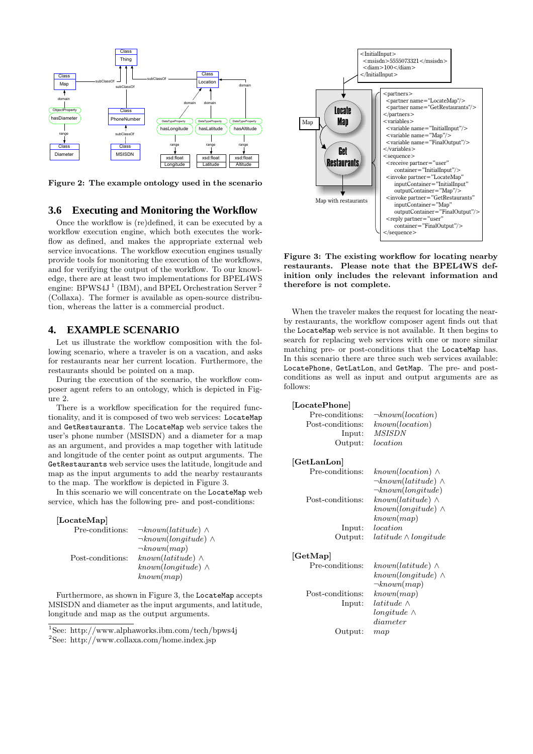

Figure 2: The example ontology used in the scenario

#### **3.6 Executing and Monitoring the Workflow**

Once the workflow is (re)defined, it can be executed by a workflow execution engine, which both executes the workflow as defined, and makes the appropriate external web service invocations. The workflow execution engines usually provide tools for monitoring the execution of the workflows, and for verifying the output of the workflow. To our knowledge, there are at least two implementations for BPEL4WS engine: BPWS4J<sup>1</sup> (IBM), and BPEL Orchestration Server<sup>2</sup> (Collaxa). The former is available as open-source distribution, whereas the latter is a commercial product.

# **4. EXAMPLE SCENARIO**

Let us illustrate the workflow composition with the following scenario, where a traveler is on a vacation, and asks for restaurants near her current location. Furthermore, the restaurants should be pointed on a map.

During the execution of the scenario, the workflow composer agent refers to an ontology, which is depicted in Figure 2.

There is a workflow specification for the required functionality, and it is composed of two web services: LocateMap and GetRestaurants. The LocateMap web service takes the user's phone number (MSISDN) and a diameter for a map as an argument, and provides a map together with latitude and longitude of the center point as output arguments. The GetRestaurants web service uses the latitude, longitude and map as the input arguments to add the nearby restaurants to the map. The workflow is depicted in Figure 3.

In this scenario we will concentrate on the LocateMap web service, which has the following pre- and post-conditions:

| [LocateMap]      |                                |
|------------------|--------------------------------|
| Pre-conditions:  | $\neg known(latitude) \wedge$  |
|                  | $\neg known(longitude) \wedge$ |
|                  | $\neg known(map)$              |
| Post-conditions: | $known(latitude) \wedge$       |
|                  | $known(longitude) \wedge$      |
|                  | known(map)                     |

Furthermore, as shown in Figure 3, the LocateMap accepts MSISDN and diameter as the input arguments, and latitude, longitude and map as the output arguments.

<sup>1</sup>See: http://www.alphaworks.ibm.com/tech/bpws4j <sup>2</sup>See: http://www.collaxa.com/home.index.jsp



Figure 3: The existing workflow for locating nearby restaurants. Please note that the BPEL4WS definition only includes the relevant information and therefore is not complete.

When the traveler makes the request for locating the nearby restaurants, the workflow composer agent finds out that the LocateMap web service is not available. It then begins to search for replacing web services with one or more similar matching pre- or post-conditions that the LocateMap has. In this scenario there are three such web services available: LocatePhone, GetLatLon, and GetMap. The pre- and postconditions as well as input and output arguments are as follows:

| [LocatePhone]    |                                                                                      |
|------------------|--------------------------------------------------------------------------------------|
| Pre-conditions:  | $\neg known (location)$                                                              |
| Post-conditions: | known(location)                                                                      |
| Input:           | <b>MSISDN</b>                                                                        |
| Output:          | location                                                                             |
| GetLanLon        |                                                                                      |
| Pre-conditions:  | $known(location) \wedge$<br>$\neg known(latitude) \wedge$<br>$\neg known(longitude)$ |
| Post-conditions: | $known(latitude) \wedge$<br>$known(longitude) \wedge$<br>known(map)                  |
| Input:           | location                                                                             |
| Output:          | $lattice \wedge longitude$                                                           |
| [GetMap]         |                                                                                      |
| Pre-conditions:  | $known(latitude) \wedge$                                                             |
|                  | $known(longitude) \wedge$                                                            |
| Post-conditions: | $\neg known(map)$<br>known(map)                                                      |
|                  | latitude $\wedge$                                                                    |
| Input:           | $longitude \wedge$                                                                   |
|                  | diameter                                                                             |
| Output:          | map                                                                                  |
|                  |                                                                                      |
|                  |                                                                                      |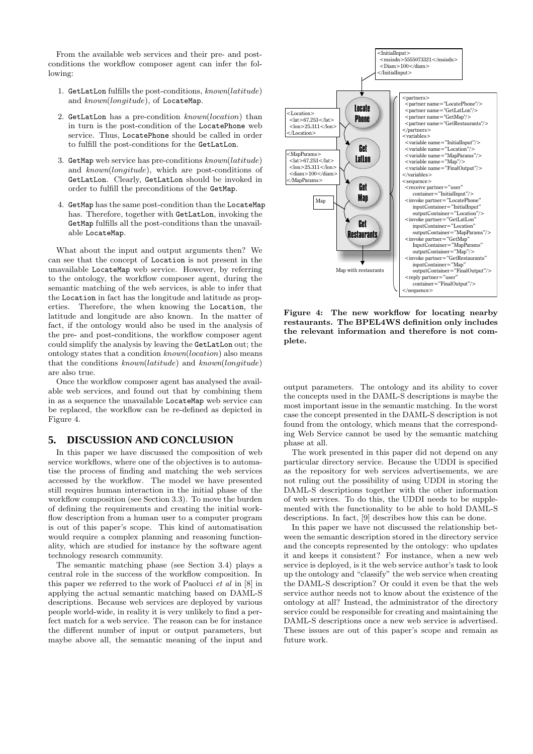From the available web services and their pre- and postconditions the workflow composer agent can infer the following:

- 1. GetLatLon fulfills the post-conditions, known(latitude) and known(longitude), of LocateMap.
- 2. GetLatLon has a pre-condition known(location) than in turn is the post-condition of the LocatePhone web service. Thus, LocatePhone should be called in order to fulfill the post-conditions for the GetLatLon.
- 3. GetMap web service has pre-conditions known(latitude) and known(longitude), which are post-conditions of GetLatLon. Clearly, GetLatLon should be invoked in order to fulfill the preconditions of the GetMap.
- 4. GetMap has the same post-condition than the LocateMap has. Therefore, together with GetLatLon, invoking the GetMap fulfills all the post-conditions than the unavailable LocateMap.

What about the input and output arguments then? We can see that the concept of Location is not present in the unavailable LocateMap web service. However, by referring to the ontology, the workflow composer agent, during the semantic matching of the web services, is able to infer that the Location in fact has the longitude and latitude as properties. Therefore, the when knowing the Location, the latitude and longitude are also known. In the matter of fact, if the ontology would also be used in the analysis of the pre- and post-conditions, the workflow composer agent could simplify the analysis by leaving the GetLatLon out; the ontology states that a condition known(location) also means that the conditions known(latitude) and known(longitude) are also true.

Once the workflow composer agent has analysed the available web services, and found out that by combining them in as a sequence the unavailable LocateMap web service can be replaced, the workflow can be re-defined as depicted in Figure 4.

### **5. DISCUSSION AND CONCLUSION**

In this paper we have discussed the composition of web service workflows, where one of the objectives is to automatise the process of finding and matching the web services accessed by the workflow. The model we have presented still requires human interaction in the initial phase of the workflow composition (see Section 3.3). To move the burden of defining the requirements and creating the initial workflow description from a human user to a computer program is out of this paper's scope. This kind of automatisation would require a complex planning and reasoning functionality, which are studied for instance by the software agent technology research community.

The semantic matching phase (see Section 3.4) plays a central role in the success of the workflow composition. In this paper we referred to the work of Paolucci  $et$  al in [8] in applying the actual semantic matching based on DAML-S descriptions. Because web services are deployed by various people world-wide, in reality it is very unlikely to find a perfect match for a web service. The reason can be for instance the different number of input or output parameters, but maybe above all, the semantic meaning of the input and



Figure 4: The new workflow for locating nearby restaurants. The BPEL4WS definition only includes the relevant information and therefore is not complete.

output parameters. The ontology and its ability to cover the concepts used in the DAML-S descriptions is maybe the most important issue in the semantic matching. In the worst case the concept presented in the DAML-S description is not found from the ontology, which means that the corresponding Web Service cannot be used by the semantic matching phase at all.

The work presented in this paper did not depend on any particular directory service. Because the UDDI is specified as the repository for web services advertisements, we are not ruling out the possibility of using UDDI in storing the DAML-S descriptions together with the other information of web services. To do this, the UDDI needs to be supplemented with the functionality to be able to hold DAML-S descriptions. In fact, [9] describes how this can be done.

In this paper we have not discussed the relationship between the semantic description stored in the directory service and the concepts represented by the ontology: who updates it and keeps it consistent? For instance, when a new web service is deployed, is it the web service author's task to look up the ontology and "classify" the web service when creating the DAML-S description? Or could it even be that the web service author needs not to know about the existence of the ontology at all? Instead, the administrator of the directory service could be responsible for creating and maintaining the DAML-S descriptions once a new web service is advertised. These issues are out of this paper's scope and remain as future work.